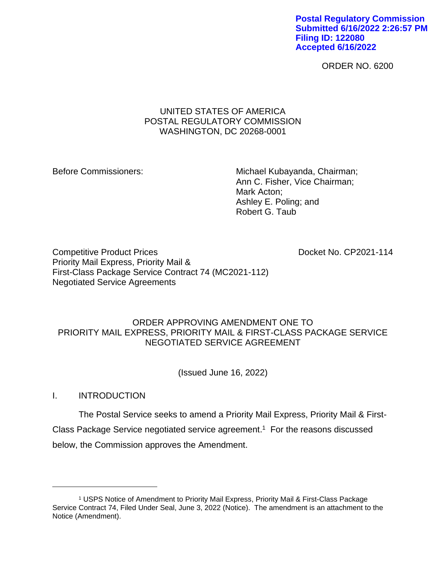**Postal Regulatory Commission Submitted 6/16/2022 2:26:57 PM Filing ID: 122080 Accepted 6/16/2022**

ORDER NO. 6200

# UNITED STATES OF AMERICA POSTAL REGULATORY COMMISSION WASHINGTON, DC 20268-0001

Before Commissioners: Michael Kubayanda, Chairman; Ann C. Fisher, Vice Chairman; Mark Acton; Ashley E. Poling; and Robert G. Taub

Competitive Product Prices **Docket No. CP2021-114** Priority Mail Express, Priority Mail & First-Class Package Service Contract 74 (MC2021-112) Negotiated Service Agreements

# ORDER APPROVING AMENDMENT ONE TO PRIORITY MAIL EXPRESS, PRIORITY MAIL & FIRST-CLASS PACKAGE SERVICE NEGOTIATED SERVICE AGREEMENT

(Issued June 16, 2022)

I. INTRODUCTION

The Postal Service seeks to amend a Priority Mail Express, Priority Mail & First-Class Package Service negotiated service agreement. 1 For the reasons discussed below, the Commission approves the Amendment.

<sup>1</sup> USPS Notice of Amendment to Priority Mail Express, Priority Mail & First-Class Package Service Contract 74, Filed Under Seal, June 3, 2022 (Notice). The amendment is an attachment to the Notice (Amendment).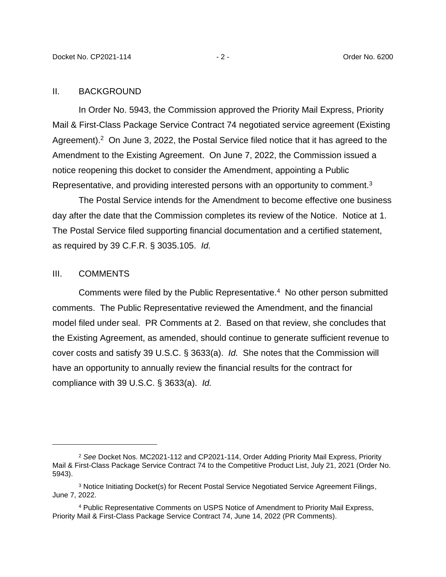#### II. BACKGROUND

In Order No. 5943, the Commission approved the Priority Mail Express, Priority Mail & First-Class Package Service Contract 74 negotiated service agreement (Existing Agreement).<sup>2</sup> On June 3, 2022, the Postal Service filed notice that it has agreed to the Amendment to the Existing Agreement. On June 7, 2022, the Commission issued a notice reopening this docket to consider the Amendment, appointing a Public Representative, and providing interested persons with an opportunity to comment.<sup>3</sup>

The Postal Service intends for the Amendment to become effective one business day after the date that the Commission completes its review of the Notice. Notice at 1. The Postal Service filed supporting financial documentation and a certified statement, as required by 39 C.F.R. § 3035.105. *Id.*

### III. COMMENTS

Comments were filed by the Public Representative.<sup>4</sup> No other person submitted comments. The Public Representative reviewed the Amendment, and the financial model filed under seal. PR Comments at 2. Based on that review, she concludes that the Existing Agreement, as amended, should continue to generate sufficient revenue to cover costs and satisfy 39 U.S.C. § 3633(a). *Id.* She notes that the Commission will have an opportunity to annually review the financial results for the contract for compliance with 39 U.S.C. § 3633(a). *Id.*

<sup>2</sup> *See* Docket Nos. MC2021-112 and CP2021-114, Order Adding Priority Mail Express, Priority Mail & First-Class Package Service Contract 74 to the Competitive Product List, July 21, 2021 (Order No. 5943).

<sup>3</sup> Notice Initiating Docket(s) for Recent Postal Service Negotiated Service Agreement Filings, June 7, 2022.

<sup>4</sup> Public Representative Comments on USPS Notice of Amendment to Priority Mail Express, Priority Mail & First-Class Package Service Contract 74, June 14, 2022 (PR Comments).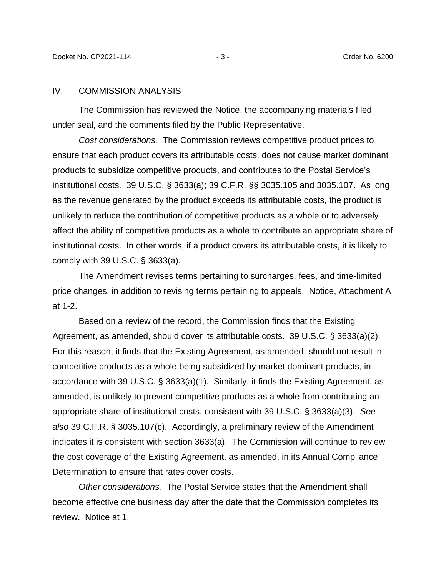### IV. COMMISSION ANALYSIS

The Commission has reviewed the Notice, the accompanying materials filed under seal, and the comments filed by the Public Representative.

*Cost considerations.* The Commission reviews competitive product prices to ensure that each product covers its attributable costs, does not cause market dominant products to subsidize competitive products, and contributes to the Postal Service's institutional costs. 39 U.S.C. § 3633(a); 39 C.F.R. §§ 3035.105 and 3035.107. As long as the revenue generated by the product exceeds its attributable costs, the product is unlikely to reduce the contribution of competitive products as a whole or to adversely affect the ability of competitive products as a whole to contribute an appropriate share of institutional costs. In other words, if a product covers its attributable costs, it is likely to comply with 39 U.S.C. § 3633(a).

The Amendment revises terms pertaining to surcharges, fees, and time-limited price changes, in addition to revising terms pertaining to appeals. Notice, Attachment A at 1-2.

Based on a review of the record, the Commission finds that the Existing Agreement, as amended, should cover its attributable costs. 39 U.S.C. § 3633(a)(2). For this reason, it finds that the Existing Agreement, as amended, should not result in competitive products as a whole being subsidized by market dominant products, in accordance with 39 U.S.C. § 3633(a)(1). Similarly, it finds the Existing Agreement, as amended, is unlikely to prevent competitive products as a whole from contributing an appropriate share of institutional costs, consistent with 39 U.S.C. § 3633(a)(3). *See also* 39 C.F.R. § 3035.107(c). Accordingly, a preliminary review of the Amendment indicates it is consistent with section 3633(a). The Commission will continue to review the cost coverage of the Existing Agreement, as amended, in its Annual Compliance Determination to ensure that rates cover costs.

*Other considerations.* The Postal Service states that the Amendment shall become effective one business day after the date that the Commission completes its review. Notice at 1.